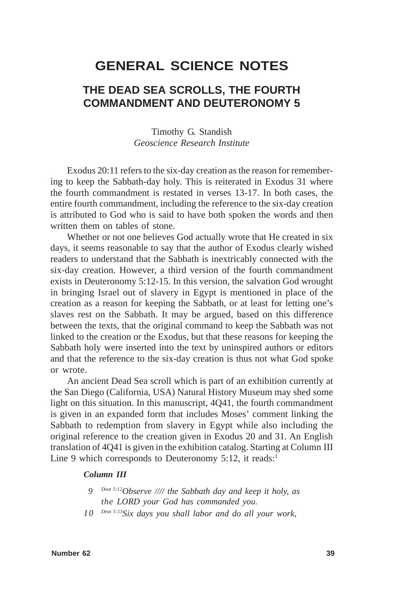# **GENERAL SCIENCE NOTES**

## **THE DEAD SEA SCROLLS, THE FOURTH COMMANDMENT AND DEUTERONOMY 5**

Timothy G. Standish *Geoscience Research Institute*

Exodus 20:11 refers to the six-day creation as the reason for remembering to keep the Sabbath-day holy. This is reiterated in Exodus 31 where the fourth commandment is restated in verses 13-17. In both cases, the entire fourth commandment, including the reference to the six-day creation is attributed to God who is said to have both spoken the words and then written them on tables of stone.

Whether or not one believes God actually wrote that He created in six days, it seems reasonable to say that the author of Exodus clearly wished readers to understand that the Sabbath is inextricably connected with the six-day creation. However, a third version of the fourth commandment exists in Deuteronomy 5:12-15. In this version, the salvation God wrought in bringing Israel out of slavery in Egypt is mentioned in place of the creation as a reason for keeping the Sabbath, or at least for letting one's slaves rest on the Sabbath. It may be argued, based on this difference between the texts, that the original command to keep the Sabbath was not linked to the creation or the Exodus, but that these reasons for keeping the Sabbath holy were inserted into the text by uninspired authors or editors and that the reference to the six-day creation is thus not what God spoke or wrote.

An ancient Dead Sea scroll which is part of an exhibition currently at the San Diego (California, USA) Natural History Museum may shed some light on this situation. In this manuscript, 4Q41, the fourth commandment is given in an expanded form that includes Moses' comment linking the Sabbath to redemption from slavery in Egypt while also including the original reference to the creation given in Exodus 20 and 31. An English translation of 4Q41 is given in the exhibition catalog. Starting at Column III Line 9 which corresponds to Deuteronomy  $5:12$ , it reads:<sup>1</sup>

#### *Column III*

- *9 Deut 5:12Observe //// the Sabbath day and keep it holy, as the LORD your God has commanded you.*
- *10 Deut 5:13Six days you shall labor and do all your work,*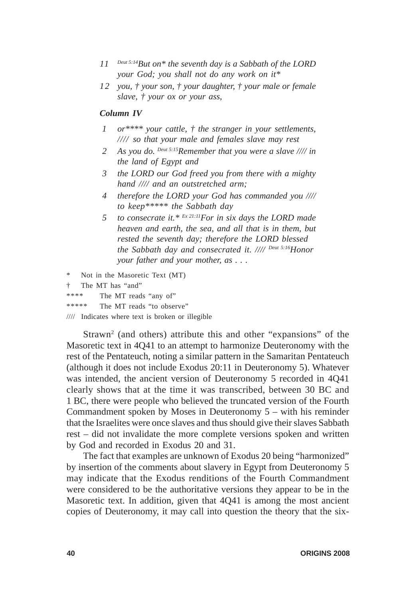- *11 Deut 5:14But on\* the seventh day is a Sabbath of the LORD your God; you shall not do any work on it\**
- *12 you, † your son, † your daughter, † your male or female slave, † your ox or your ass,*

#### *Column IV*

- *1 or\*\*\*\* your cattle, † the stranger in your settlements, //// so that your male and females slave may rest*
- *2 As you do. Deut 5:15Remember that you were a slave //// in the land of Egypt and*
- *3 the LORD our God freed you from there with a mighty hand //// and an outstretched arm;*
- *4 therefore the LORD your God has commanded you //// to keep\*\*\*\*\* the Sabbath day*
- *5 to consecrate it.\* Ex 21:11For in six days the LORD made heaven and earth, the sea, and all that is in them, but rested the seventh day; therefore the LORD blessed the Sabbath day and consecrated it. //// Deut 5:16Honor your father and your mother, as . . .*
- Not in the Masoretic Text (MT)
- † The MT has "and"
- \*\*\*\* The MT reads "any of"

\*\*\*\*\* The MT reads "to observe"

//// Indicates where text is broken or illegible

Strawn<sup>2</sup> (and others) attribute this and other "expansions" of the Masoretic text in 4Q41 to an attempt to harmonize Deuteronomy with the rest of the Pentateuch, noting a similar pattern in the Samaritan Pentateuch (although it does not include Exodus 20:11 in Deuteronomy 5). Whatever was intended, the ancient version of Deuteronomy 5 recorded in 4Q41 clearly shows that at the time it was transcribed, between 30 BC and 1 BC, there were people who believed the truncated version of the Fourth Commandment spoken by Moses in Deuteronomy 5 – with his reminder that the Israelites were once slaves and thus should give their slaves Sabbath rest – did not invalidate the more complete versions spoken and written by God and recorded in Exodus 20 and 31.

The fact that examples are unknown of Exodus 20 being "harmonized" by insertion of the comments about slavery in Egypt from Deuteronomy 5 may indicate that the Exodus renditions of the Fourth Commandment were considered to be the authoritative versions they appear to be in the Masoretic text. In addition, given that 4Q41 is among the most ancient copies of Deuteronomy, it may call into question the theory that the six